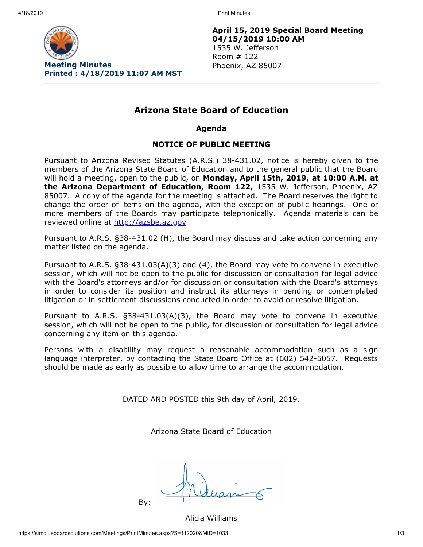4/18/2019 Print Minutes



**April 15, 2019 Special Board Meeting 04/15/2019 10:00 AM** 1535 W. Jefferson Room # 122 Phoenix, AZ 85007

# **Arizona State Board of Education**

**Agenda**

## **NOTICE OF PUBLIC MEETING**

Pursuant to Arizona Revised Statutes (A.R.S.) 38-431.02, notice is hereby given to the members of the Arizona State Board of Education and to the general public that the Board will hold a meeting, open to the public, on **Monday, April 15th, 2019, at 10:00 A.M. at the Arizona Department of Education, Room 122,** 1535 W. Jefferson, Phoenix, AZ 85007. A copy of the agenda for the meeting is attached. The Board reserves the right to change the order of items on the agenda, with the exception of public hearings. One or more members of the Boards may participate telephonically. Agenda materials can be reviewed online at [http://azsbe.az.gov](http://azsbe.az.gov/)

Pursuant to A.R.S. §38-431.02 (H), the Board may discuss and take action concerning any matter listed on the agenda.

Pursuant to A.R.S. §38-431.03(A)(3) and (4), the Board may vote to convene in executive session, which will not be open to the public for discussion or consultation for legal advice with the Board's attorneys and/or for discussion or consultation with the Board's attorneys in order to consider its position and instruct its attorneys in pending or contemplated litigation or in settlement discussions conducted in order to avoid or resolve litigation.

Pursuant to A.R.S. §38-431.03(A)(3), the Board may vote to convene in executive session, which will not be open to the public, for discussion or consultation for legal advice concerning any item on this agenda.

Persons with a disability may request a reasonable accommodation such as a sign language interpreter, by contacting the State Board Office at (602) 542-5057. Requests should be made as early as possible to allow time to arrange the accommodation.

DATED AND POSTED this 9th day of April, 2019.

Arizona State Board of Education

By:

Alicia Williams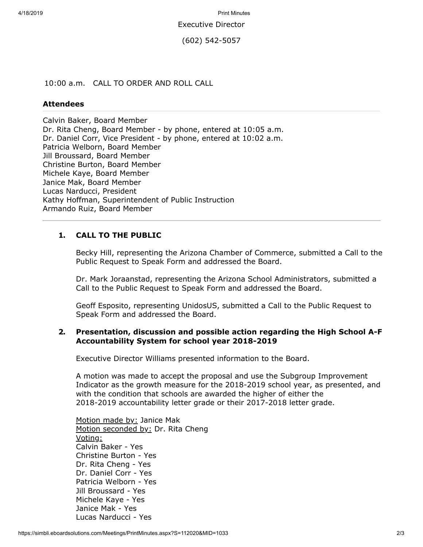4/18/2019 Print Minutes

Executive Director

(602) 542-5057

10:00 a.m. CALL TO ORDER AND ROLL CALL

### **Attendees**

Calvin Baker, Board Member Dr. Rita Cheng, Board Member - by phone, entered at 10:05 a.m. Dr. Daniel Corr, Vice President - by phone, entered at 10:02 a.m. Patricia Welborn, Board Member Jill Broussard, Board Member Christine Burton, Board Member Michele Kaye, Board Member Janice Mak, Board Member Lucas Narducci, President Kathy Hoffman, Superintendent of Public Instruction Armando Ruiz, Board Member

## **1. CALL TO THE PUBLIC**

Becky Hill, representing the Arizona Chamber of Commerce, submitted a Call to the Public Request to Speak Form and addressed the Board.

Dr. Mark Joraanstad, representing the Arizona School Administrators, submitted a Call to the Public Request to Speak Form and addressed the Board.

Geoff Esposito, representing UnidosUS, submitted a Call to the Public Request to Speak Form and addressed the Board.

## **2. Presentation, discussion and possible action regarding the High School A-F Accountability System for school year 2018-2019**

Executive Director Williams presented information to the Board.

A motion was made to accept the proposal and use the Subgroup Improvement Indicator as the growth measure for the 2018-2019 school year, as presented, and with the condition that schools are awarded the higher of either the 2018-2019 accountability letter grade or their 2017-2018 letter grade.

Motion made by: Janice Mak Motion seconded by: Dr. Rita Cheng Voting: Calvin Baker - Yes Christine Burton - Yes Dr. Rita Cheng - Yes Dr. Daniel Corr - Yes Patricia Welborn - Yes Jill Broussard - Yes Michele Kaye - Yes Janice Mak - Yes Lucas Narducci - Yes